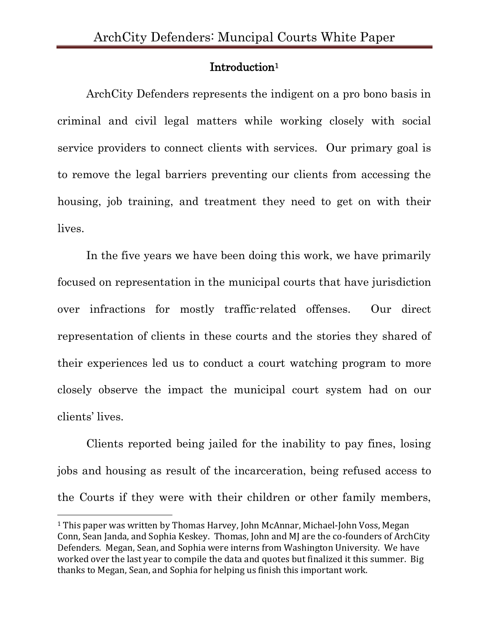#### Introduction<sup>1</sup>

ArchCity Defenders represents the indigent on a pro bono basis in criminal and civil legal matters while working closely with social service providers to connect clients with services. Our primary goal is to remove the legal barriers preventing our clients from accessing the housing, job training, and treatment they need to get on with their lives.

In the five years we have been doing this work, we have primarily focused on representation in the municipal courts that have jurisdiction over infractions for mostly traffic-related offenses. Our direct representation of clients in these courts and the stories they shared of their experiences led us to conduct a court watching program to more closely observe the impact the municipal court system had on our clients' lives.

Clients reported being jailed for the inability to pay fines, losing jobs and housing as result of the incarceration, being refused access to the Courts if they were with their children or other family members,

<sup>&</sup>lt;sup>1</sup> This paper was written by Thomas Harvey, John McAnnar, Michael-John Voss, Megan Conn, Sean Janda, and Sophia Keskey. Thomas, John and MJ are the co-founders of ArchCity Defenders. Megan, Sean, and Sophia were interns from Washington University. We have worked over the last year to compile the data and quotes but finalized it this summer. Big thanks to Megan, Sean, and Sophia for helping us finish this important work.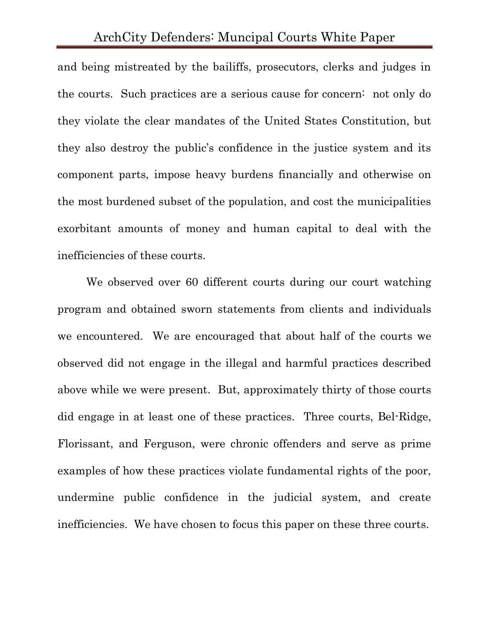and being mistreated by the bailiffs, prosecutors, clerks and judges in the courts. Such practices are a serious cause for concern: not only do they violate the clear mandates of the United States Constitution, but they also destroy the public's confidence in the justice system and its component parts, impose heavy burdens financially and otherwise on the most burdened subset of the population, and cost the municipalities exorbitant amounts of money and human capital to deal with the inefficiencies of these courts.

We observed over 60 different courts during our court watching program and obtained sworn statements from clients and individuals we encountered. We are encouraged that about half of the courts we observed did not engage in the illegal and harmful practices described above while we were present. But, approximately thirty of those courts did engage in at least one of these practices. Three courts, Bel-Ridge, Florissant, and Ferguson, were chronic offenders and serve as prime examples of how these practices violate fundamental rights of the poor, undermine public confidence in the judicial system, and create inefficiencies. We have chosen to focus this paper on these three courts.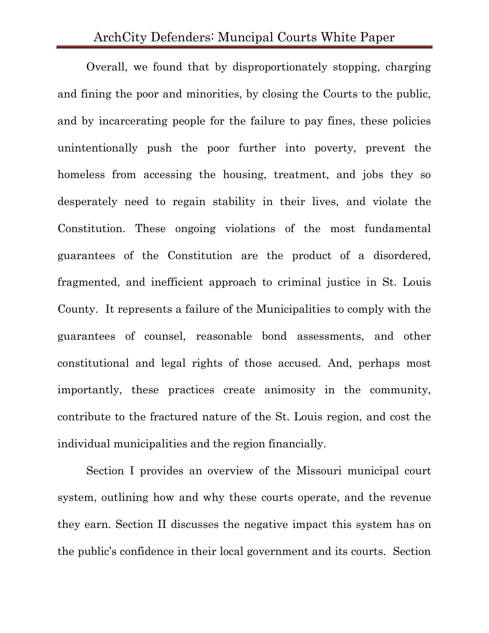Overall, we found that by disproportionately stopping, charging and fining the poor and minorities, by closing the Courts to the public, and by incarcerating people for the failure to pay fines, these policies unintentionally push the poor further into poverty, prevent the homeless from accessing the housing, treatment, and jobs they so desperately need to regain stability in their lives, and violate the Constitution. These ongoing violations of the most fundamental guarantees of the Constitution are the product of a disordered, fragmented, and inefficient approach to criminal justice in St. Louis County. It represents a failure of the Municipalities to comply with the guarantees of counsel, reasonable bond assessments, and other constitutional and legal rights of those accused. And, perhaps most importantly, these practices create animosity in the community, contribute to the fractured nature of the St. Louis region, and cost the individual municipalities and the region financially.

Section I provides an overview of the Missouri municipal court system, outlining how and why these courts operate, and the revenue they earn. Section II discusses the negative impact this system has on the public's confidence in their local government and its courts. Section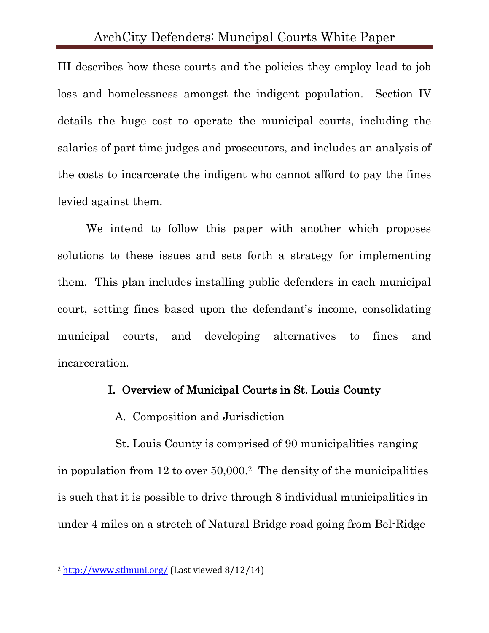III describes how these courts and the policies they employ lead to job loss and homelessness amongst the indigent population. Section IV details the huge cost to operate the municipal courts, including the salaries of part time judges and prosecutors, and includes an analysis of the costs to incarcerate the indigent who cannot afford to pay the fines levied against them.

We intend to follow this paper with another which proposes solutions to these issues and sets forth a strategy for implementing them. This plan includes installing public defenders in each municipal court, setting fines based upon the defendant's income, consolidating municipal courts, and developing alternatives to fines and incarceration.

#### I. Overview of Municipal Courts in St. Louis County

A. Composition and Jurisdiction

St. Louis County is comprised of 90 municipalities ranging in population from 12 to over 50,000.<sup>2</sup> The density of the municipalities is such that it is possible to drive through 8 individual municipalities in under 4 miles on a stretch of Natural Bridge road going from Bel-Ridge

<sup>2</sup> <http://www.stlmuni.org/> (Last viewed 8/12/14)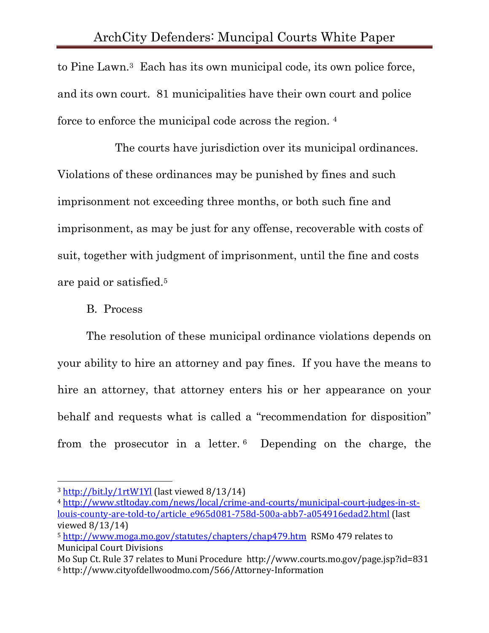to Pine Lawn.3 Each has its own municipal code, its own police force, and its own court. 81 municipalities have their own court and police force to enforce the municipal code across the region. <sup>4</sup>

The courts have jurisdiction over its municipal ordinances. Violations of these ordinances may be punished by fines and such imprisonment not exceeding three months, or both such fine and imprisonment, as may be just for any offense, recoverable with costs of suit, together with judgment of imprisonment, until the fine and costs are paid or satisfied.<sup>5</sup>

## B. Process

The resolution of these municipal ordinance violations depends on your ability to hire an attorney and pay fines. If you have the means to hire an attorney, that attorney enters his or her appearance on your behalf and requests what is called a "recommendation for disposition" from the prosecutor in a letter. <sup>6</sup> Depending on the charge, the

 $\overline{\phantom{a}}$ <sup>3</sup> <http://bit.ly/1rtW1Yl> (last viewed 8/13/14)

<sup>4</sup> [http://www.stltoday.com/news/local/crime-and-courts/municipal-court-judges-in-st](http://www.stltoday.com/news/local/crime-and-courts/municipal-court-judges-in-st-louis-county-are-told-to/article_e965d081-758d-500a-abb7-a054916edad2.html)[louis-county-are-told-to/article\\_e965d081-758d-500a-abb7-a054916edad2.html](http://www.stltoday.com/news/local/crime-and-courts/municipal-court-judges-in-st-louis-county-are-told-to/article_e965d081-758d-500a-abb7-a054916edad2.html) (last viewed 8/13/14)

<sup>5</sup> <http://www.moga.mo.gov/statutes/chapters/chap479.htm>RSMo 479 relates to Municipal Court Divisions

Mo Sup Ct. Rule 37 relates to Muni Procedure http://www.courts.mo.gov/page.jsp?id=831 <sup>6</sup> http://www.cityofdellwoodmo.com/566/Attorney-Information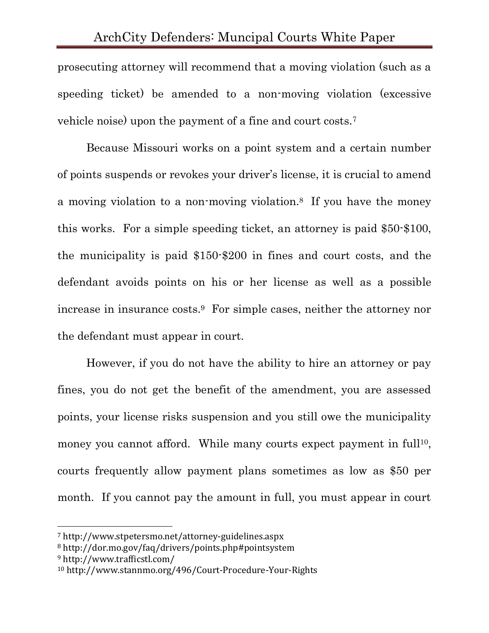prosecuting attorney will recommend that a moving violation (such as a speeding ticket) be amended to a non-moving violation (excessive vehicle noise) upon the payment of a fine and court costs.<sup>7</sup>

Because Missouri works on a point system and a certain number of points suspends or revokes your driver's license, it is crucial to amend a moving violation to a non-moving violation.8 If you have the money this works. For a simple speeding ticket, an attorney is paid \$50-\$100, the municipality is paid \$150-\$200 in fines and court costs, and the defendant avoids points on his or her license as well as a possible increase in insurance costs.9 For simple cases, neither the attorney nor the defendant must appear in court.

However, if you do not have the ability to hire an attorney or pay fines, you do not get the benefit of the amendment, you are assessed points, your license risks suspension and you still owe the municipality money you cannot afford. While many courts expect payment in full<sup>10</sup>, courts frequently allow payment plans sometimes as low as \$50 per month. If you cannot pay the amount in full, you must appear in court

<sup>7</sup> http://www.stpetersmo.net/attorney-guidelines.aspx

<sup>8</sup> http://dor.mo.gov/faq/drivers/points.php#pointsystem

<sup>9</sup> http://www.trafficstl.com/

<sup>10</sup> http://www.stannmo.org/496/Court-Procedure-Your-Rights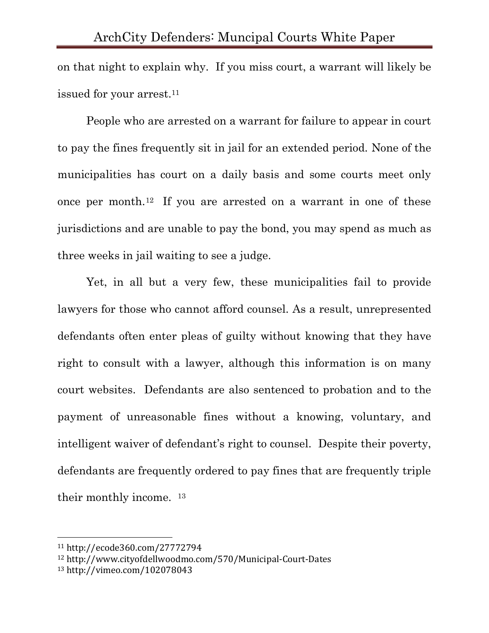on that night to explain why. If you miss court, a warrant will likely be issued for your arrest.<sup>11</sup>

People who are arrested on a warrant for failure to appear in court to pay the fines frequently sit in jail for an extended period. None of the municipalities has court on a daily basis and some courts meet only once per month.12 If you are arrested on a warrant in one of these jurisdictions and are unable to pay the bond, you may spend as much as three weeks in jail waiting to see a judge.

Yet, in all but a very few, these municipalities fail to provide lawyers for those who cannot afford counsel. As a result, unrepresented defendants often enter pleas of guilty without knowing that they have right to consult with a lawyer, although this information is on many court websites. Defendants are also sentenced to probation and to the payment of unreasonable fines without a knowing, voluntary, and intelligent waiver of defendant's right to counsel. Despite their poverty, defendants are frequently ordered to pay fines that are frequently triple their monthly income. <sup>13</sup>

<sup>11</sup> http://ecode360.com/27772794

<sup>12</sup> http://www.cityofdellwoodmo.com/570/Municipal-Court-Dates

<sup>13</sup> http://vimeo.com/102078043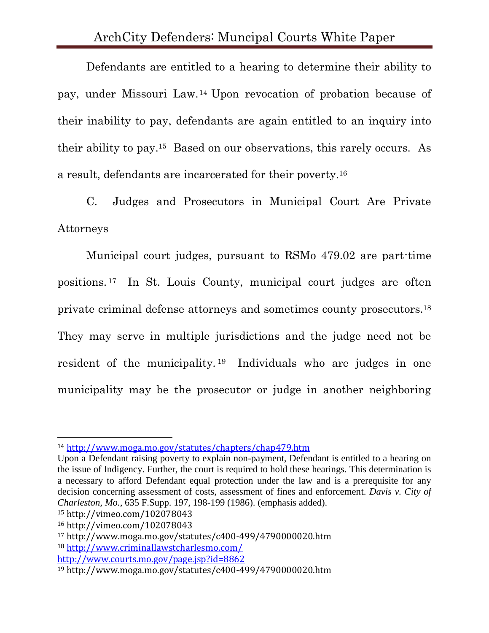Defendants are entitled to a hearing to determine their ability to pay, under Missouri Law.<sup>14</sup> Upon revocation of probation because of their inability to pay, defendants are again entitled to an inquiry into their ability to pay. <sup>15</sup> Based on our observations, this rarely occurs. As a result, defendants are incarcerated for their poverty.<sup>16</sup>

C. Judges and Prosecutors in Municipal Court Are Private Attorneys

Municipal court judges, pursuant to RSMo 479.02 are part-time positions. <sup>17</sup> In St. Louis County, municipal court judges are often private criminal defense attorneys and sometimes county prosecutors.<sup>18</sup> They may serve in multiple jurisdictions and the judge need not be resident of the municipality. <sup>19</sup> Individuals who are judges in one municipality may be the prosecutor or judge in another neighboring

<sup>14</sup> <http://www.moga.mo.gov/statutes/chapters/chap479.htm>

Upon a Defendant raising poverty to explain non-payment, Defendant is entitled to a hearing on the issue of Indigency. Further, the court is required to hold these hearings. This determination is a necessary to afford Defendant equal protection under the law and is a prerequisite for any decision concerning assessment of costs, assessment of fines and enforcement. *Davis v. City of Charleston, Mo.*, 635 F.Supp. 197, 198-199 (1986). (emphasis added).

<sup>15</sup> http://vimeo.com/102078043

<sup>16</sup> http://vimeo.com/102078043

<sup>17</sup> http://www.moga.mo.gov/statutes/c400-499/4790000020.htm

<sup>18</sup> <http://www.criminallawstcharlesmo.com/>

<http://www.courts.mo.gov/page.jsp?id=8862>

<sup>19</sup> http://www.moga.mo.gov/statutes/c400-499/4790000020.htm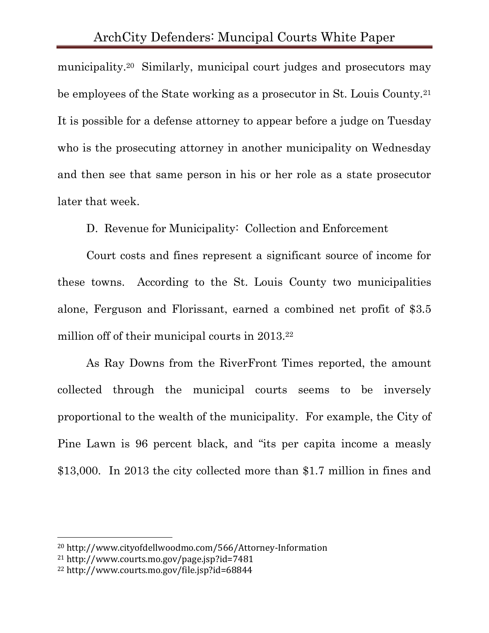municipality.20 Similarly, municipal court judges and prosecutors may be employees of the State working as a prosecutor in St. Louis County.<sup>21</sup> It is possible for a defense attorney to appear before a judge on Tuesday who is the prosecuting attorney in another municipality on Wednesday and then see that same person in his or her role as a state prosecutor later that week.

D. Revenue for Municipality: Collection and Enforcement

Court costs and fines represent a significant source of income for these towns. According to the St. Louis County two municipalities alone, Ferguson and Florissant, earned a combined net profit of \$3.5 million off of their municipal courts in 2013.<sup>22</sup>

As Ray Downs from the RiverFront Times reported, the amount collected through the municipal courts seems to be inversely proportional to the wealth of the municipality. For example, the City of Pine Lawn is 96 percent black, and "its per capita income a measly \$13,000. In 2013 the city collected more than \$1.7 million in fines and

<sup>20</sup> http://www.cityofdellwoodmo.com/566/Attorney-Information

<sup>21</sup> http://www.courts.mo.gov/page.jsp?id=7481

<sup>22</sup> http://www.courts.mo.gov/file.jsp?id=68844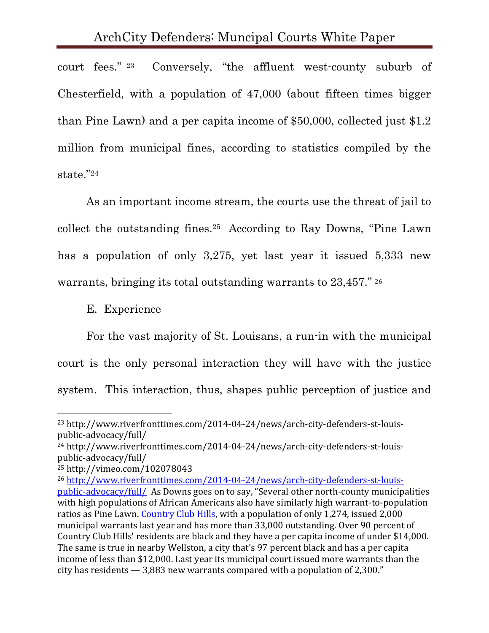court fees." 23 Conversely, "the affluent west-county suburb of Chesterfield, with a population of 47,000 (about fifteen times bigger than Pine Lawn) and a per capita income of \$50,000, collected just \$1.2 million from municipal fines, according to statistics compiled by the state." 24

As an important income stream, the courts use the threat of jail to collect the outstanding fines.25 According to Ray Downs, "Pine Lawn has a population of only 3,275, yet last year it issued 5,333 new warrants, bringing its total outstanding warrants to 23,457." 26

E. Experience

For the vast majority of St. Louisans, a run-in with the municipal court is the only personal interaction they will have with the justice system. This interaction, thus, shapes public perception of justice and

<sup>23</sup> http://www.riverfronttimes.com/2014-04-24/news/arch-city-defenders-st-louispublic-advocacy/full/

<sup>24</sup> http://www.riverfronttimes.com/2014-04-24/news/arch-city-defenders-st-louispublic-advocacy/full/

<sup>25</sup> http://vimeo.com/102078043

<sup>26</sup> [http://www.riverfronttimes.com/2014-04-24/news/arch-city-defenders-st-louis](http://www.riverfronttimes.com/2014-04-24/news/arch-city-defenders-st-louis-public-advocacy/full/)[public-advocacy/full/](http://www.riverfronttimes.com/2014-04-24/news/arch-city-defenders-st-louis-public-advocacy/full/) As Downs goes on to say, "Several other north-county municipalities with high populations of African Americans also have similarly high warrant-to-population ratios as Pine Lawn. [Country Club Hills,](http://www.riverfronttimes.com/related/to/Country+Club+Hills/) with a population of only 1,274, issued 2,000 municipal warrants last year and has more than 33,000 outstanding. Over 90 percent of Country Club Hills' residents are black and they have a per capita income of under \$14,000. The same is true in nearby Wellston, a city that's 97 percent black and has a per capita income of less than \$12,000. Last year its municipal court issued more warrants than the city has residents — 3,883 new warrants compared with a population of 2,300."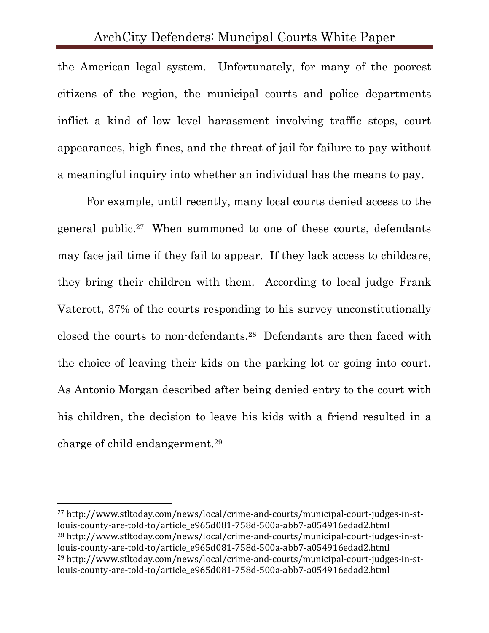the American legal system. Unfortunately, for many of the poorest citizens of the region, the municipal courts and police departments inflict a kind of low level harassment involving traffic stops, court appearances, high fines, and the threat of jail for failure to pay without a meaningful inquiry into whether an individual has the means to pay.

For example, until recently, many local courts denied access to the general public.27 When summoned to one of these courts, defendants may face jail time if they fail to appear. If they lack access to childcare, they bring their children with them. According to local judge Frank Vaterott, 37% of the courts responding to his survey unconstitutionally closed the courts to non-defendants.<sup>28</sup> Defendants are then faced with the choice of leaving their kids on the parking lot or going into court. As Antonio Morgan described after being denied entry to the court with his children, the decision to leave his kids with a friend resulted in a charge of child endangerment. 29

<sup>27</sup> http://www.stltoday.com/news/local/crime-and-courts/municipal-court-judges-in-stlouis-county-are-told-to/article\_e965d081-758d-500a-abb7-a054916edad2.html <sup>28</sup> http://www.stltoday.com/news/local/crime-and-courts/municipal-court-judges-in-stlouis-county-are-told-to/article\_e965d081-758d-500a-abb7-a054916edad2.html <sup>29</sup> http://www.stltoday.com/news/local/crime-and-courts/municipal-court-judges-in-stlouis-county-are-told-to/article\_e965d081-758d-500a-abb7-a054916edad2.html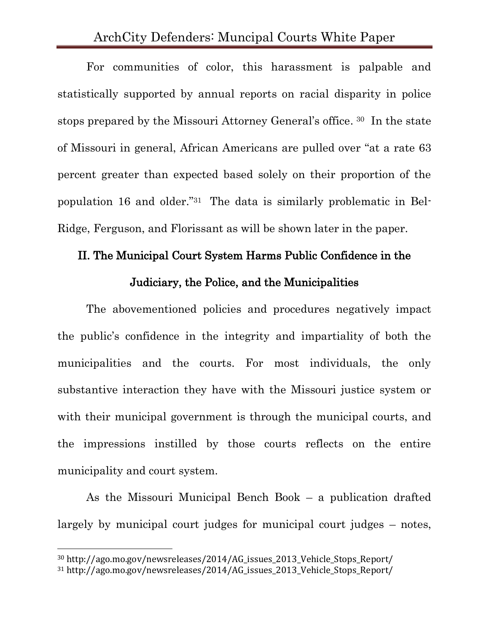For communities of color, this harassment is palpable and statistically supported by annual reports on racial disparity in police stops prepared by the Missouri Attorney General's office. <sup>30</sup> In the state of Missouri in general, African Americans are pulled over "at a rate 63 percent greater than expected based solely on their proportion of the population 16 and older." <sup>31</sup> The data is similarly problematic in Bel-Ridge, Ferguson, and Florissant as will be shown later in the paper.

# II. The Municipal Court System Harms Public Confidence in the Judiciary, the Police, and the Municipalities

The abovementioned policies and procedures negatively impact the public's confidence in the integrity and impartiality of both the municipalities and the courts. For most individuals, the only substantive interaction they have with the Missouri justice system or with their municipal government is through the municipal courts, and the impressions instilled by those courts reflects on the entire municipality and court system.

As the Missouri Municipal Bench Book – a publication drafted largely by municipal court judges for municipal court judges – notes,

<sup>30</sup> http://ago.mo.gov/newsreleases/2014/AG\_issues\_2013\_Vehicle\_Stops\_Report/

<sup>31</sup> http://ago.mo.gov/newsreleases/2014/AG\_issues\_2013\_Vehicle\_Stops\_Report/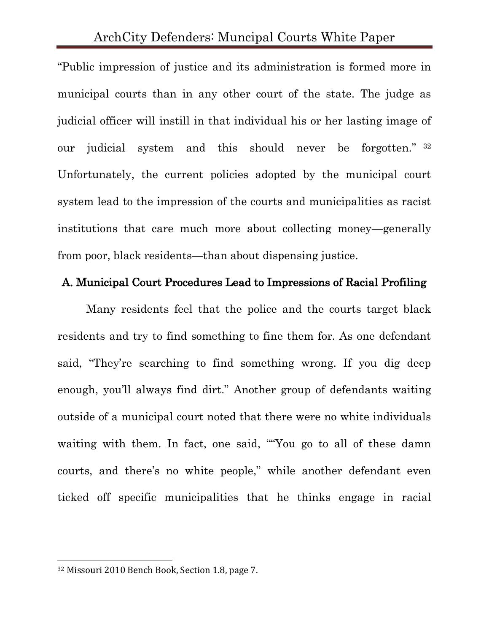"Public impression of justice and its administration is formed more in municipal courts than in any other court of the state. The judge as judicial officer will instill in that individual his or her lasting image of our judicial system and this should never be forgotten." <sup>32</sup> Unfortunately, the current policies adopted by the municipal court system lead to the impression of the courts and municipalities as racist institutions that care much more about collecting money—generally from poor, black residents—than about dispensing justice.

#### A. Municipal Court Procedures Lead to Impressions of Racial Profiling

Many residents feel that the police and the courts target black residents and try to find something to fine them for. As one defendant said, "They're searching to find something wrong. If you dig deep enough, you'll always find dirt." Another group of defendants waiting outside of a municipal court noted that there were no white individuals waiting with them. In fact, one said, ""You go to all of these damn courts, and there's no white people," while another defendant even ticked off specific municipalities that he thinks engage in racial

<sup>32</sup> Missouri 2010 Bench Book, Section 1.8, page 7.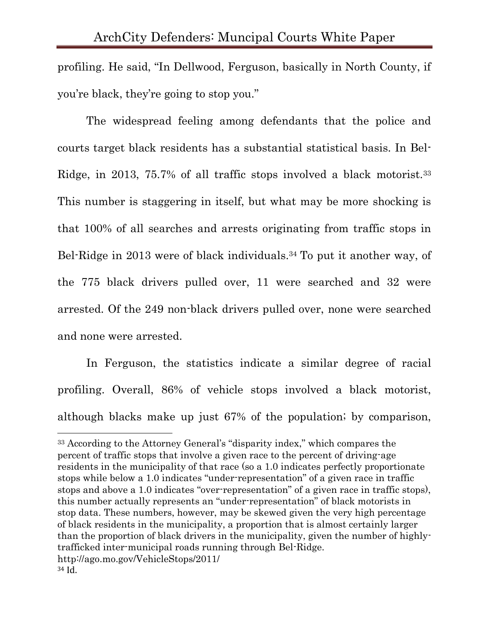profiling. He said, "In Dellwood, Ferguson, basically in North County, if you're black, they're going to stop you."

The widespread feeling among defendants that the police and courts target black residents has a substantial statistical basis. In Bel-Ridge, in 2013, 75.7% of all traffic stops involved a black motorist.<sup>33</sup> This number is staggering in itself, but what may be more shocking is that 100% of all searches and arrests originating from traffic stops in Bel-Ridge in 2013 were of black individuals.<sup>34</sup> To put it another way, of the 775 black drivers pulled over, 11 were searched and 32 were arrested. Of the 249 non-black drivers pulled over, none were searched and none were arrested.

In Ferguson, the statistics indicate a similar degree of racial profiling. Overall, 86% of vehicle stops involved a black motorist, although blacks make up just 67% of the population; by comparison,

<sup>33</sup> According to the Attorney General's "disparity index," which compares the percent of traffic stops that involve a given race to the percent of driving-age residents in the municipality of that race (so a 1.0 indicates perfectly proportionate stops while below a 1.0 indicates "under-representation" of a given race in traffic stops and above a 1.0 indicates "over-representation" of a given race in traffic stops), this number actually represents an "under-representation" of black motorists in stop data. These numbers, however, may be skewed given the very high percentage of black residents in the municipality, a proportion that is almost certainly larger than the proportion of black drivers in the municipality, given the number of highlytrafficked inter-municipal roads running through Bel-Ridge. http://ago.mo.gov/VehicleStops/2011/ <sup>34</sup> Id.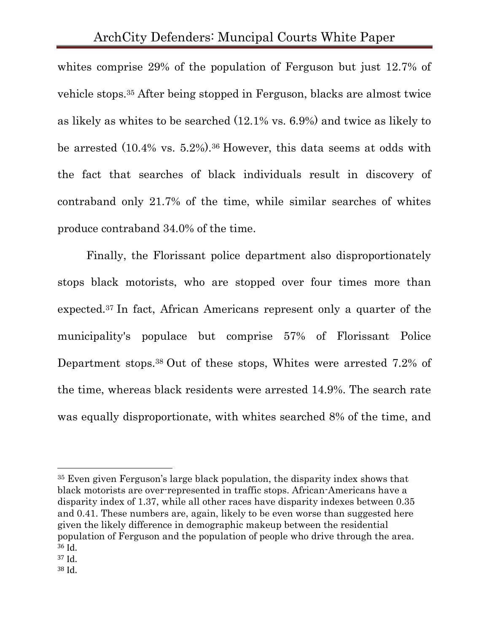whites comprise 29% of the population of Ferguson but just 12.7% of vehicle stops.<sup>35</sup> After being stopped in Ferguson, blacks are almost twice as likely as whites to be searched (12.1% vs. 6.9%) and twice as likely to be arrested (10.4% vs. 5.2%).<sup>36</sup> However, this data seems at odds with the fact that searches of black individuals result in discovery of contraband only 21.7% of the time, while similar searches of whites produce contraband 34.0% of the time.

Finally, the Florissant police department also disproportionately stops black motorists, who are stopped over four times more than expected.<sup>37</sup> In fact, African Americans represent only a quarter of the municipality's populace but comprise 57% of Florissant Police Department stops.<sup>38</sup> Out of these stops, Whites were arrested 7.2% of the time, whereas black residents were arrested 14.9%. The search rate was equally disproportionate, with whites searched 8% of the time, and

<sup>35</sup> Even given Ferguson's large black population, the disparity index shows that black motorists are over-represented in traffic stops. African-Americans have a disparity index of 1.37, while all other races have disparity indexes between 0.35 and 0.41. These numbers are, again, likely to be even worse than suggested here given the likely difference in demographic makeup between the residential population of Ferguson and the population of people who drive through the area. <sup>36</sup> Id.

<sup>37</sup> Id.

<sup>38</sup> Id.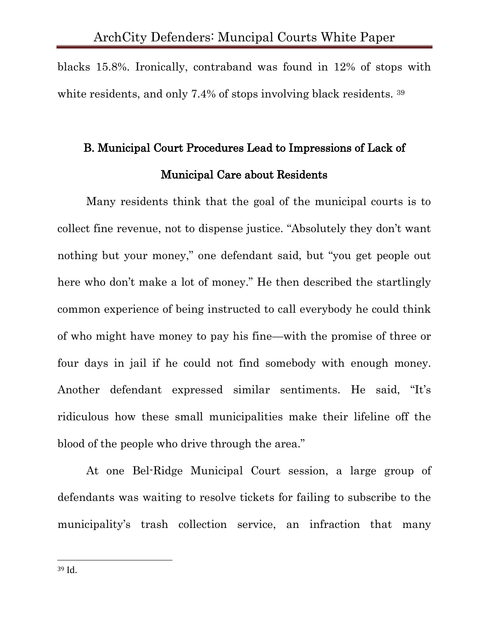blacks 15.8%. Ironically, contraband was found in 12% of stops with white residents, and only 7.4% of stops involving black residents. 39

# B. Municipal Court Procedures Lead to Impressions of Lack of Municipal Care about Residents

Many residents think that the goal of the municipal courts is to collect fine revenue, not to dispense justice. "Absolutely they don't want nothing but your money," one defendant said, but "you get people out here who don't make a lot of money." He then described the startlingly common experience of being instructed to call everybody he could think of who might have money to pay his fine—with the promise of three or four days in jail if he could not find somebody with enough money. Another defendant expressed similar sentiments. He said, "It's ridiculous how these small municipalities make their lifeline off the blood of the people who drive through the area."

At one Bel-Ridge Municipal Court session, a large group of defendants was waiting to resolve tickets for failing to subscribe to the municipality's trash collection service, an infraction that many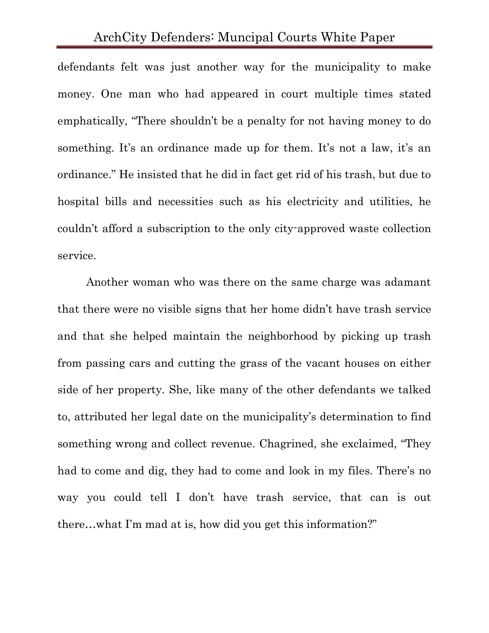defendants felt was just another way for the municipality to make money. One man who had appeared in court multiple times stated emphatically, "There shouldn't be a penalty for not having money to do something. It's an ordinance made up for them. It's not a law, it's an ordinance." He insisted that he did in fact get rid of his trash, but due to hospital bills and necessities such as his electricity and utilities, he couldn't afford a subscription to the only city-approved waste collection service.

Another woman who was there on the same charge was adamant that there were no visible signs that her home didn't have trash service and that she helped maintain the neighborhood by picking up trash from passing cars and cutting the grass of the vacant houses on either side of her property. She, like many of the other defendants we talked to, attributed her legal date on the municipality's determination to find something wrong and collect revenue. Chagrined, she exclaimed, "They had to come and dig, they had to come and look in my files. There's no way you could tell I don't have trash service, that can is out there…what I'm mad at is, how did you get this information?"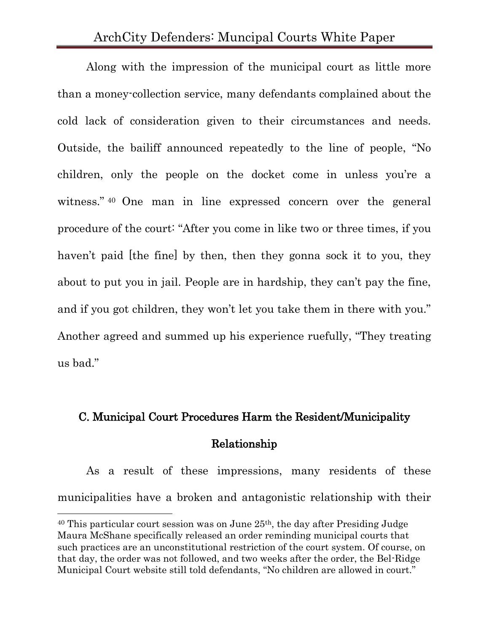Along with the impression of the municipal court as little more than a money-collection service, many defendants complained about the cold lack of consideration given to their circumstances and needs. Outside, the bailiff announced repeatedly to the line of people, "No children, only the people on the docket come in unless you're a witness." <sup>40</sup> One man in line expressed concern over the general procedure of the court: "After you come in like two or three times, if you haven't paid [the fine] by then, then they gonna sock it to you, they about to put you in jail. People are in hardship, they can't pay the fine, and if you got children, they won't let you take them in there with you." Another agreed and summed up his experience ruefully, "They treating us bad."

# C. Municipal Court Procedures Harm the Resident/Municipality Relationship

As a result of these impressions, many residents of these municipalities have a broken and antagonistic relationship with their

<sup>40</sup> This particular court session was on June 25th, the day after Presiding Judge Maura McShane specifically released an order reminding municipal courts that such practices are an unconstitutional restriction of the court system. Of course, on that day, the order was not followed, and two weeks after the order, the Bel-Ridge Municipal Court website still told defendants, "No children are allowed in court."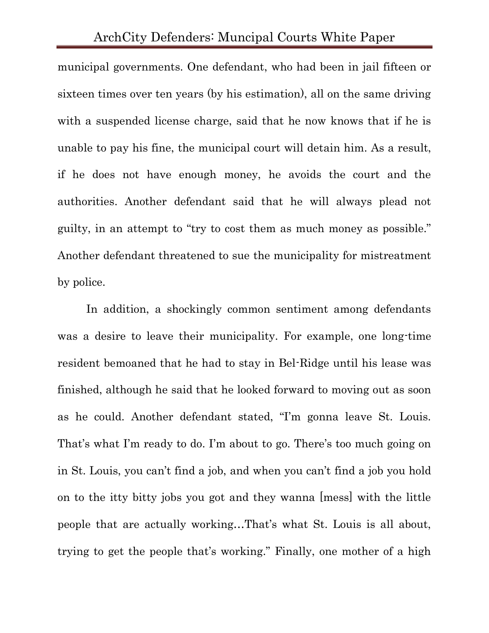municipal governments. One defendant, who had been in jail fifteen or sixteen times over ten years (by his estimation), all on the same driving with a suspended license charge, said that he now knows that if he is unable to pay his fine, the municipal court will detain him. As a result, if he does not have enough money, he avoids the court and the authorities. Another defendant said that he will always plead not guilty, in an attempt to "try to cost them as much money as possible." Another defendant threatened to sue the municipality for mistreatment by police.

In addition, a shockingly common sentiment among defendants was a desire to leave their municipality. For example, one long-time resident bemoaned that he had to stay in Bel-Ridge until his lease was finished, although he said that he looked forward to moving out as soon as he could. Another defendant stated, "I'm gonna leave St. Louis. That's what I'm ready to do. I'm about to go. There's too much going on in St. Louis, you can't find a job, and when you can't find a job you hold on to the itty bitty jobs you got and they wanna [mess] with the little people that are actually working…That's what St. Louis is all about, trying to get the people that's working." Finally, one mother of a high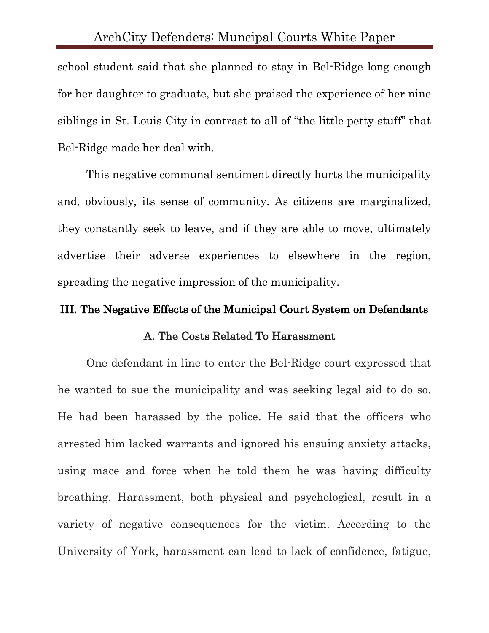school student said that she planned to stay in Bel-Ridge long enough for her daughter to graduate, but she praised the experience of her nine siblings in St. Louis City in contrast to all of "the little petty stuff" that Bel-Ridge made her deal with.

This negative communal sentiment directly hurts the municipality and, obviously, its sense of community. As citizens are marginalized, they constantly seek to leave, and if they are able to move, ultimately advertise their adverse experiences to elsewhere in the region, spreading the negative impression of the municipality.

# III. The Negative Effects of the Municipal Court System on Defendants A. The Costs Related To Harassment

One defendant in line to enter the Bel-Ridge court expressed that he wanted to sue the municipality and was seeking legal aid to do so. He had been harassed by the police. He said that the officers who arrested him lacked warrants and ignored his ensuing anxiety attacks, using mace and force when he told them he was having difficulty breathing. Harassment, both physical and psychological, result in a variety of negative consequences for the victim. According to the University of York, harassment can lead to lack of confidence, fatigue,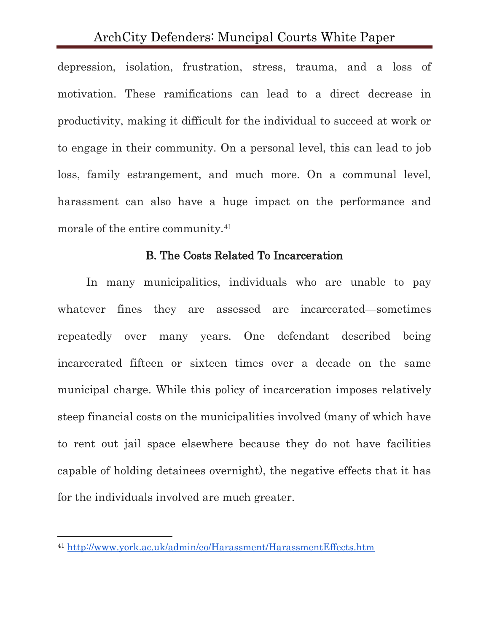depression, isolation, frustration, stress, trauma, and a loss of motivation. These ramifications can lead to a direct decrease in productivity, making it difficult for the individual to succeed at work or to engage in their community. On a personal level, this can lead to job loss, family estrangement, and much more. On a communal level, harassment can also have a huge impact on the performance and morale of the entire community.<sup>41</sup>

#### B. The Costs Related To Incarceration

In many municipalities, individuals who are unable to pay whatever fines they are assessed are incarcerated—sometimes repeatedly over many years. One defendant described being incarcerated fifteen or sixteen times over a decade on the same municipal charge. While this policy of incarceration imposes relatively steep financial costs on the municipalities involved (many of which have to rent out jail space elsewhere because they do not have facilities capable of holding detainees overnight), the negative effects that it has for the individuals involved are much greater.

<sup>41</sup> <http://www.york.ac.uk/admin/eo/Harassment/HarassmentEffects.htm>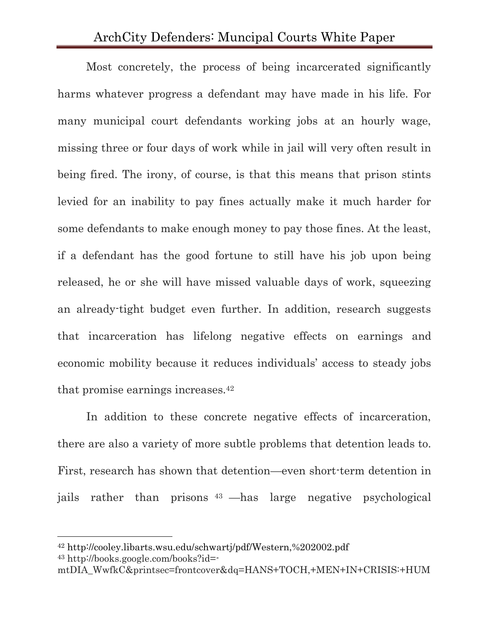Most concretely, the process of being incarcerated significantly harms whatever progress a defendant may have made in his life. For many municipal court defendants working jobs at an hourly wage, missing three or four days of work while in jail will very often result in being fired. The irony, of course, is that this means that prison stints levied for an inability to pay fines actually make it much harder for some defendants to make enough money to pay those fines. At the least, if a defendant has the good fortune to still have his job upon being released, he or she will have missed valuable days of work, squeezing an already-tight budget even further. In addition, research suggests that incarceration has lifelong negative effects on earnings and economic mobility because it reduces individuals' access to steady jobs that promise earnings increases.<sup>42</sup>

In addition to these concrete negative effects of incarceration, there are also a variety of more subtle problems that detention leads to. First, research has shown that detention—even short-term detention in jails rather than prisons <sup>43</sup> —has large negative psychological

<sup>42</sup> http://cooley.libarts.wsu.edu/schwartj/pdf/Western,%202002.pdf <sup>43</sup> http://books.google.com/books?id=-

mtDIA\_WwfkC&printsec=frontcover&dq=HANS+TOCH,+MEN+IN+CRISIS:+HUM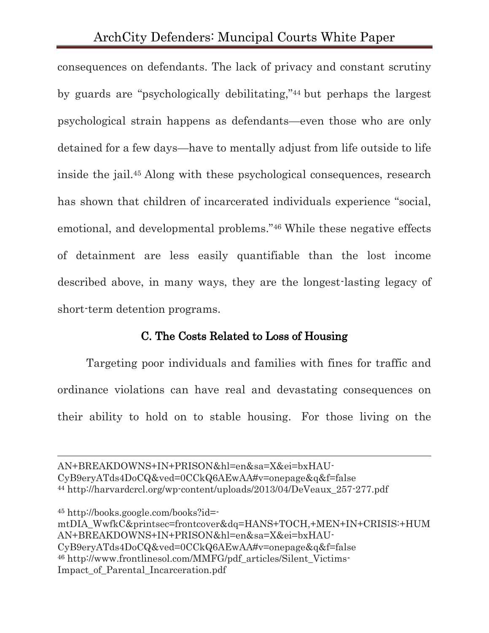consequences on defendants. The lack of privacy and constant scrutiny by guards are "psychologically debilitating,"<sup>44</sup> but perhaps the largest psychological strain happens as defendants—even those who are only detained for a few days—have to mentally adjust from life outside to life inside the jail.<sup>45</sup> Along with these psychological consequences, research has shown that children of incarcerated individuals experience "social, emotional, and developmental problems."<sup>46</sup> While these negative effects of detainment are less easily quantifiable than the lost income described above, in many ways, they are the longest-lasting legacy of short-term detention programs.

#### C. The Costs Related to Loss of Housing

Targeting poor individuals and families with fines for traffic and ordinance violations can have real and devastating consequences on their ability to hold on to stable housing. For those living on the

AN+BREAKDOWNS+IN+PRISON&hl=en&sa=X&ei=bxHAU-CyB9eryATds4DoCQ&ved=0CCkQ6AEwAA#v=onepage&q&f=false <sup>44</sup> http://harvardcrcl.org/wp-content/uploads/2013/04/DeVeaux\_257-277.pdf

<sup>45</sup> http://books.google.com/books?id=-

 $\overline{a}$ 

mtDIA\_WwfkC&printsec=frontcover&dq=HANS+TOCH,+MEN+IN+CRISIS:+HUM AN+BREAKDOWNS+IN+PRISON&hl=en&sa=X&ei=bxHAU-CyB9eryATds4DoCQ&ved=0CCkQ6AEwAA#v=onepage&q&f=false <sup>46</sup> http://www.frontlinesol.com/MMFG/pdf\_articles/Silent\_Victims-Impact\_of\_Parental\_Incarceration.pdf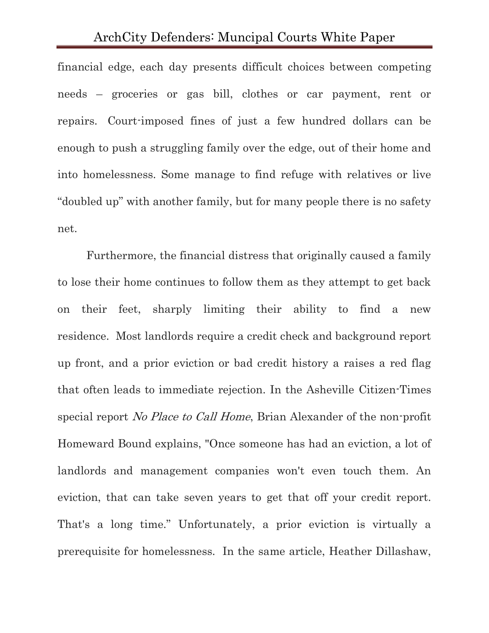financial edge, each day presents difficult choices between competing needs – groceries or gas bill, clothes or car payment, rent or repairs. Court-imposed fines of just a few hundred dollars can be enough to push a struggling family over the edge, out of their home and into homelessness. Some manage to find refuge with relatives or live "doubled up" with another family, but for many people there is no safety net.

Furthermore, the financial distress that originally caused a family to lose their home continues to follow them as they attempt to get back on their feet, sharply limiting their ability to find a new residence. Most landlords require a credit check and background report up front, and a prior eviction or bad credit history a raises a red flag that often leads to immediate rejection. In the Asheville Citizen-Times special report No Place to Call Home, Brian Alexander of the non-profit Homeward Bound explains, "Once someone has had an eviction, a lot of landlords and management companies won't even touch them. An eviction, that can take seven years to get that off your credit report. That's a long time." Unfortunately, a prior eviction is virtually a prerequisite for homelessness. In the same article, Heather Dillashaw,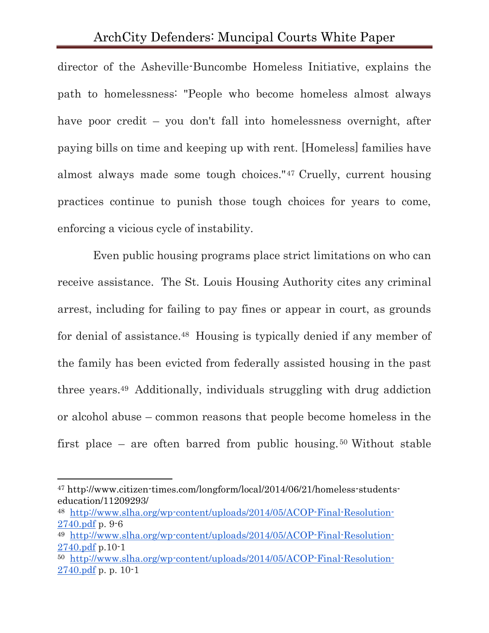director of the Asheville-Buncombe Homeless Initiative, explains the path to homelessness: "People who become homeless almost always have poor credit – you don't fall into homelessness overnight, after paying bills on time and keeping up with rent. [Homeless] families have almost always made some tough choices."<sup>47</sup> Cruelly, current housing practices continue to punish those tough choices for years to come, enforcing a vicious cycle of instability.

Even public housing programs place strict limitations on who can receive assistance. The St. Louis Housing Authority cites any criminal arrest, including for failing to pay fines or appear in court, as grounds for denial of assistance.<sup>48</sup> Housing is typically denied if any member of the family has been evicted from federally assisted housing in the past three years.<sup>49</sup> Additionally, individuals struggling with drug addiction or alcohol abuse – common reasons that people become homeless in the first place – are often barred from public housing. <sup>50</sup> Without stable

<sup>47</sup> http://www.citizen-times.com/longform/local/2014/06/21/homeless-studentseducation/11209293/

<sup>48</sup> [http://www.slha.org/wp-content/uploads/2014/05/ACOP-Final-Resolution-](http://www.slha.org/wp-content/uploads/2014/05/ACOP-Final-Resolution-2740.pdf)[2740.pdf](http://www.slha.org/wp-content/uploads/2014/05/ACOP-Final-Resolution-2740.pdf) p. 9-6

<sup>49</sup> [http://www.slha.org/wp-content/uploads/2014/05/ACOP-Final-Resolution-](http://www.slha.org/wp-content/uploads/2014/05/ACOP-Final-Resolution-2740.pdf)[2740.pdf](http://www.slha.org/wp-content/uploads/2014/05/ACOP-Final-Resolution-2740.pdf) p.10-1

<sup>50</sup> [http://www.slha.org/wp-content/uploads/2014/05/ACOP-Final-Resolution-](http://www.slha.org/wp-content/uploads/2014/05/ACOP-Final-Resolution-2740.pdf)[2740.pdf](http://www.slha.org/wp-content/uploads/2014/05/ACOP-Final-Resolution-2740.pdf) p. p. 10-1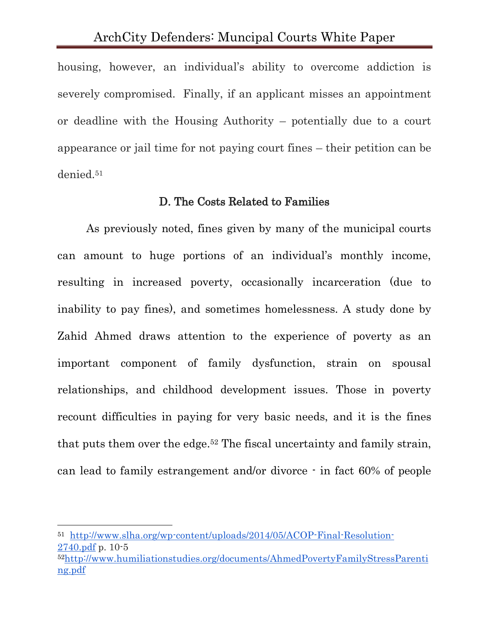housing, however, an individual's ability to overcome addiction is severely compromised. Finally, if an applicant misses an appointment or deadline with the Housing Authority – potentially due to a court appearance or jail time for not paying court fines – their petition can be denied.<sup>51</sup>

#### D. The Costs Related to Families

As previously noted, fines given by many of the municipal courts can amount to huge portions of an individual's monthly income, resulting in increased poverty, occasionally incarceration (due to inability to pay fines), and sometimes homelessness. A study done by Zahid Ahmed draws attention to the experience of poverty as an important component of family dysfunction, strain on spousal relationships, and childhood development issues. Those in poverty recount difficulties in paying for very basic needs, and it is the fines that puts them over the edge.<sup>52</sup> The fiscal uncertainty and family strain, can lead to family estrangement and/or divorce - in fact 60% of people

<sup>51</sup> [http://www.slha.org/wp-content/uploads/2014/05/ACOP-Final-Resolution-](http://www.slha.org/wp-content/uploads/2014/05/ACOP-Final-Resolution-2740.pdf)[2740.pdf](http://www.slha.org/wp-content/uploads/2014/05/ACOP-Final-Resolution-2740.pdf) p. 10-5

<sup>52</sup>[http://www.humiliationstudies.org/documents/AhmedPovertyFamilyStressParenti](http://www.humiliationstudies.org/documents/AhmedPovertyFamilyStressParenting.pdf) [ng.pdf](http://www.humiliationstudies.org/documents/AhmedPovertyFamilyStressParenting.pdf)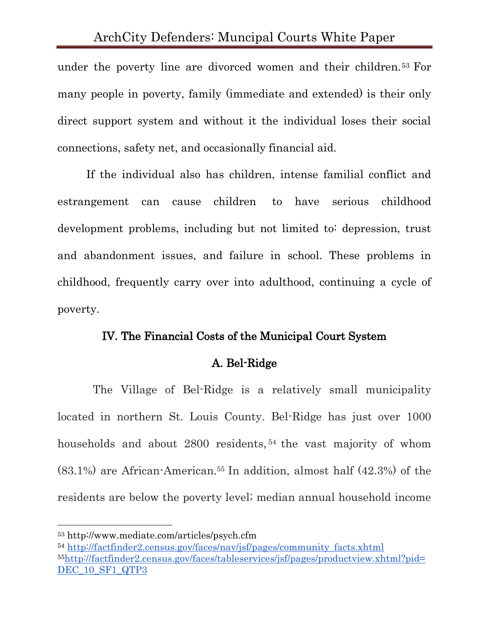under the poverty line are divorced women and their children.<sup>53</sup> For many people in poverty, family (immediate and extended) is their only direct support system and without it the individual loses their social connections, safety net, and occasionally financial aid.

If the individual also has children, intense familial conflict and estrangement can cause children to have serious childhood development problems, including but not limited to: depression, trust and abandonment issues, and failure in school. These problems in childhood, frequently carry over into adulthood, continuing a cycle of poverty.

#### IV. The Financial Costs of the Municipal Court System

# A. Bel-Ridge

The Village of Bel-Ridge is a relatively small municipality located in northern St. Louis County. Bel-Ridge has just over 1000 households and about 2800 residents, <sup>54</sup> the vast majority of whom  $(83.1\%)$  are African-American.<sup>55</sup> In addition, almost half  $(42.3\%)$  of the residents are below the poverty level; median annual household income

<sup>53</sup> http://www.mediate.com/articles/psych.cfm

<sup>54</sup> [http://factfinder2.census.gov/faces/nav/jsf/pages/community\\_facts.xhtml](http://factfinder2.census.gov/faces/nav/jsf/pages/community_facts.xhtml) <sup>55</sup>[http://factfinder2.census.gov/faces/tableservices/jsf/pages/productview.xhtml?pid=](http://factfinder2.census.gov/faces/tableservices/jsf/pages/productview.xhtml?pid=DEC_10_SF1_QTP3) [DEC\\_10\\_SF1\\_QTP3](http://factfinder2.census.gov/faces/tableservices/jsf/pages/productview.xhtml?pid=DEC_10_SF1_QTP3)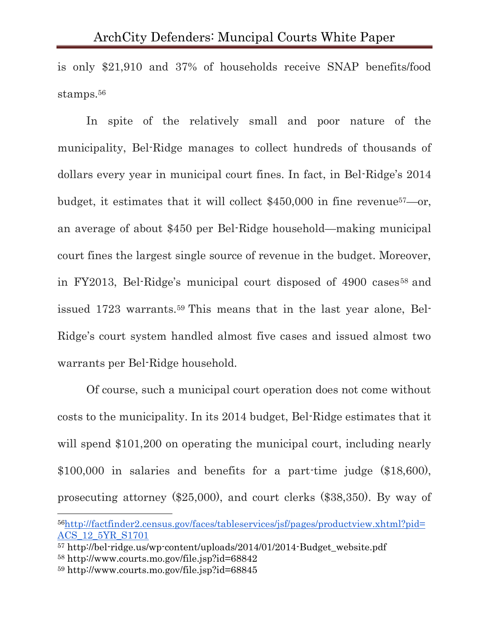is only \$21,910 and 37% of households receive SNAP benefits/food stamps.<sup>56</sup>

In spite of the relatively small and poor nature of the municipality, Bel-Ridge manages to collect hundreds of thousands of dollars every year in municipal court fines. In fact, in Bel-Ridge's 2014 budget, it estimates that it will collect \$450,000 in fine revenue57—or, an average of about \$450 per Bel-Ridge household—making municipal court fines the largest single source of revenue in the budget. Moreover, in FY2013, Bel-Ridge's municipal court disposed of 4900 cases<sup>58</sup> and issued 1723 warrants.<sup>59</sup> This means that in the last year alone, Bel-Ridge's court system handled almost five cases and issued almost two warrants per Bel-Ridge household.

Of course, such a municipal court operation does not come without costs to the municipality. In its 2014 budget, Bel-Ridge estimates that it will spend \$101,200 on operating the municipal court, including nearly \$100,000 in salaries and benefits for a part-time judge (\$18,600), prosecuting attorney (\$25,000), and court clerks (\$38,350). By way of

<sup>56</sup>[http://factfinder2.census.gov/faces/tableservices/jsf/pages/productview.xhtml?pid=](http://factfinder2.census.gov/faces/tableservices/jsf/pages/productview.xhtml?pid=ACS_12_5YR_S1701) [ACS\\_12\\_5YR\\_S1701](http://factfinder2.census.gov/faces/tableservices/jsf/pages/productview.xhtml?pid=ACS_12_5YR_S1701)

<sup>57</sup> http://bel-ridge.us/wp-content/uploads/2014/01/2014-Budget\_website.pdf <sup>58</sup> http://www.courts.mo.gov/file.jsp?id=68842

<sup>59</sup> http://www.courts.mo.gov/file.jsp?id=68845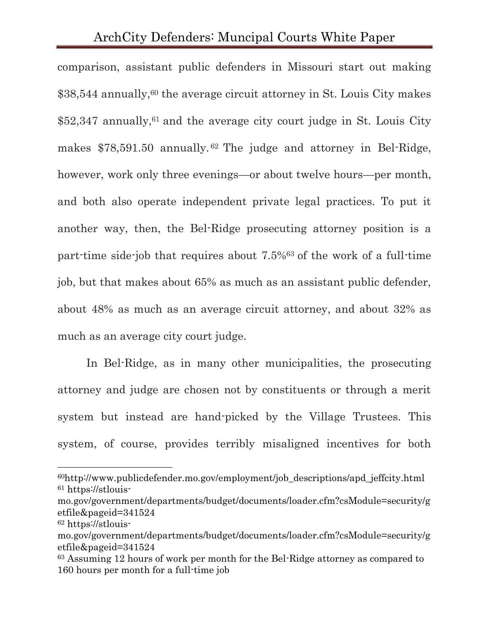comparison, assistant public defenders in Missouri start out making \$38,544 annually,<sup>60</sup> the average circuit attorney in St. Louis City makes  $$52,347$  annually,<sup>61</sup> and the average city court judge in St. Louis City makes \$78,591.50 annually. <sup>62</sup> The judge and attorney in Bel-Ridge, however, work only three evenings—or about twelve hours—per month, and both also operate independent private legal practices. To put it another way, then, the Bel-Ridge prosecuting attorney position is a part-time side-job that requires about 7.5%<sup>63</sup> of the work of a full-time job, but that makes about 65% as much as an assistant public defender, about 48% as much as an average circuit attorney, and about 32% as much as an average city court judge.

In Bel-Ridge, as in many other municipalities, the prosecuting attorney and judge are chosen not by constituents or through a merit system but instead are hand-picked by the Village Trustees. This system, of course, provides terribly misaligned incentives for both

<sup>60</sup>http://www.publicdefender.mo.gov/employment/job\_descriptions/apd\_jeffcity.html <sup>61</sup> https://stlouis-

mo.gov/government/departments/budget/documents/loader.cfm?csModule=security/g etfile&pageid=341524

<sup>62</sup> https://stlouis-

mo.gov/government/departments/budget/documents/loader.cfm?csModule=security/g etfile&pageid=341524

<sup>63</sup> Assuming 12 hours of work per month for the Bel-Ridge attorney as compared to 160 hours per month for a full-time job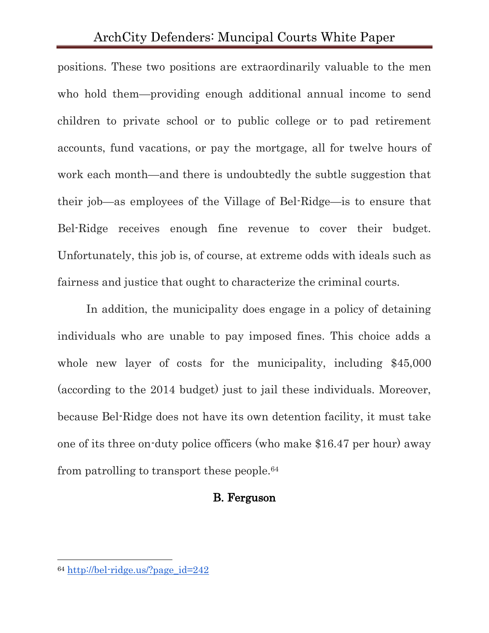positions. These two positions are extraordinarily valuable to the men who hold them—providing enough additional annual income to send children to private school or to public college or to pad retirement accounts, fund vacations, or pay the mortgage, all for twelve hours of work each month—and there is undoubtedly the subtle suggestion that their job—as employees of the Village of Bel-Ridge—is to ensure that Bel-Ridge receives enough fine revenue to cover their budget. Unfortunately, this job is, of course, at extreme odds with ideals such as fairness and justice that ought to characterize the criminal courts.

In addition, the municipality does engage in a policy of detaining individuals who are unable to pay imposed fines. This choice adds a whole new layer of costs for the municipality, including \$45,000 (according to the 2014 budget) just to jail these individuals. Moreover, because Bel-Ridge does not have its own detention facility, it must take one of its three on-duty police officers (who make \$16.47 per hour) away from patrolling to transport these people.<sup>64</sup>

#### B. Ferguson

<sup>64</sup> [http://bel-ridge.us/?page\\_id=242](http://bel-ridge.us/?page_id=242)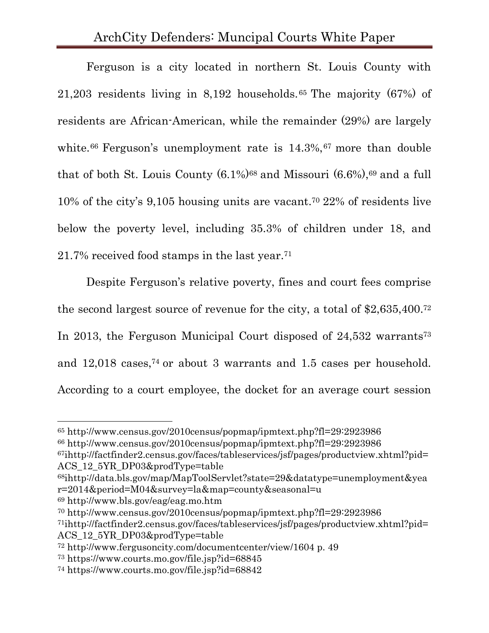Ferguson is a city located in northern St. Louis County with 21,203 residents living in 8,192 households. <sup>65</sup> The majority (67%) of residents are African-American, while the remainder (29%) are largely white.<sup>66</sup> Ferguson's unemployment rate is  $14.3\%,$ <sup>67</sup> more than double that of both St. Louis County  $(6.1\%)^{68}$  and Missouri  $(6.6\%)^{69}$  and a full 10% of the city's 9,105 housing units are vacant. <sup>70</sup> 22% of residents live below the poverty level, including 35.3% of children under 18, and 21.7% received food stamps in the last year. 71

Despite Ferguson's relative poverty, fines and court fees comprise the second largest source of revenue for the city, a total of \$2,635,400. 72 In 2013, the Ferguson Municipal Court disposed of 24,532 warrants<sup>73</sup> and 12,018 cases, <sup>74</sup> or about 3 warrants and 1.5 cases per household. According to a court employee, the docket for an average court session

<sup>69</sup> http://www.bls.gov/eag/eag.mo.htm

<sup>65</sup> http://www.census.gov/2010census/popmap/ipmtext.php?fl=29:2923986

<sup>66</sup> http://www.census.gov/2010census/popmap/ipmtext.php?fl=29:2923986

 $67$ ihttp://factfinder2.census.gov/faces/tableservices/jsf/pages/productview.xhtml?pid= ACS 12\_5YR\_DP03&prodType=table

<sup>68</sup>ihttp://data.bls.gov/map/MapToolServlet?state=29&datatype=unemployment&yea r=2014&period=M04&survey=la&map=county&seasonal=u

<sup>70</sup> http://www.census.gov/2010census/popmap/ipmtext.php?fl=29:2923986

<sup>71</sup>ihttp://factfinder2.census.gov/faces/tableservices/jsf/pages/productview.xhtml?pid= ACS\_12\_5YR\_DP03&prodType=table

<sup>72</sup> http://www.fergusoncity.com/documentcenter/view/1604 p. 49

<sup>73</sup> https://www.courts.mo.gov/file.jsp?id=68845

<sup>74</sup> https://www.courts.mo.gov/file.jsp?id=68842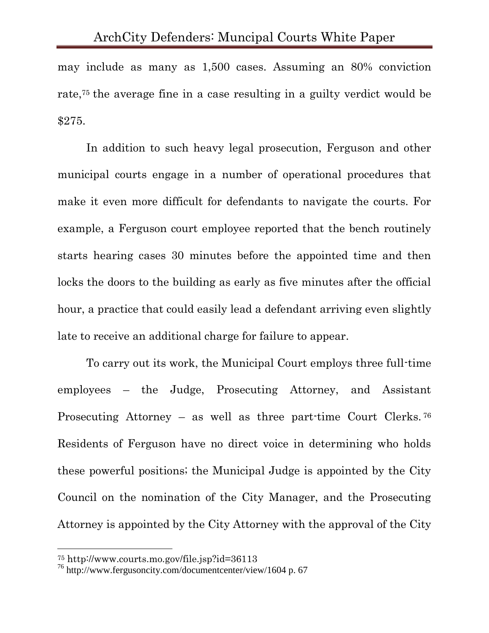may include as many as 1,500 cases. Assuming an 80% conviction rate, <sup>75</sup> the average fine in a case resulting in a guilty verdict would be \$275.

In addition to such heavy legal prosecution, Ferguson and other municipal courts engage in a number of operational procedures that make it even more difficult for defendants to navigate the courts. For example, a Ferguson court employee reported that the bench routinely starts hearing cases 30 minutes before the appointed time and then locks the doors to the building as early as five minutes after the official hour, a practice that could easily lead a defendant arriving even slightly late to receive an additional charge for failure to appear.

To carry out its work, the Municipal Court employs three full-time employees – the Judge, Prosecuting Attorney, and Assistant Prosecuting Attorney – as well as three part-time Court Clerks. <sup>76</sup> Residents of Ferguson have no direct voice in determining who holds these powerful positions; the Municipal Judge is appointed by the City Council on the nomination of the City Manager, and the Prosecuting Attorney is appointed by the City Attorney with the approval of the City

<sup>75</sup> http://www.courts.mo.gov/file.jsp?id=36113

<sup>76</sup> http://www.fergusoncity.com/documentcenter/view/1604 p. 67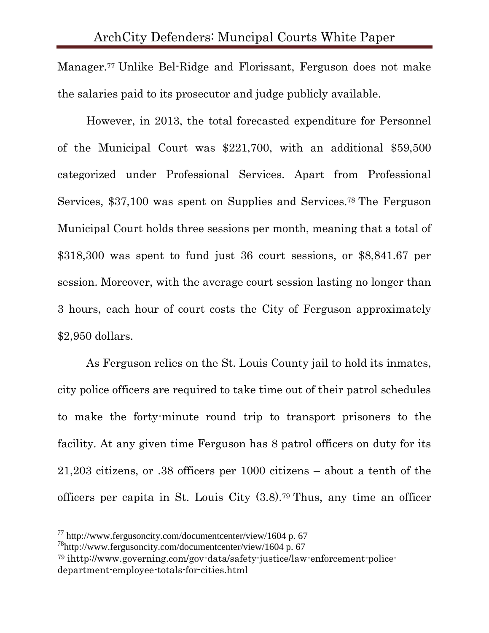Manager.<sup>77</sup> Unlike Bel-Ridge and Florissant, Ferguson does not make the salaries paid to its prosecutor and judge publicly available.

However, in 2013, the total forecasted expenditure for Personnel of the Municipal Court was \$221,700, with an additional \$59,500 categorized under Professional Services. Apart from Professional Services, \$37,100 was spent on Supplies and Services.<sup>78</sup> The Ferguson Municipal Court holds three sessions per month, meaning that a total of \$318,300 was spent to fund just 36 court sessions, or \$8,841.67 per session. Moreover, with the average court session lasting no longer than 3 hours, each hour of court costs the City of Ferguson approximately \$2,950 dollars.

As Ferguson relies on the St. Louis County jail to hold its inmates, city police officers are required to take time out of their patrol schedules to make the forty-minute round trip to transport prisoners to the facility. At any given time Ferguson has 8 patrol officers on duty for its 21,203 citizens, or .38 officers per 1000 citizens – about a tenth of the officers per capita in St. Louis City (3.8). <sup>79</sup> Thus, any time an officer

 $^{77}$  http://www.fergusoncity.com/documentcenter/view/1604 p. 67

 $^{78}$ http://www.fergusoncity.com/documentcenter/view/1604 p. 67

<sup>79</sup> ihttp://www.governing.com/gov-data/safety-justice/law-enforcement-policedepartment-employee-totals-for-cities.html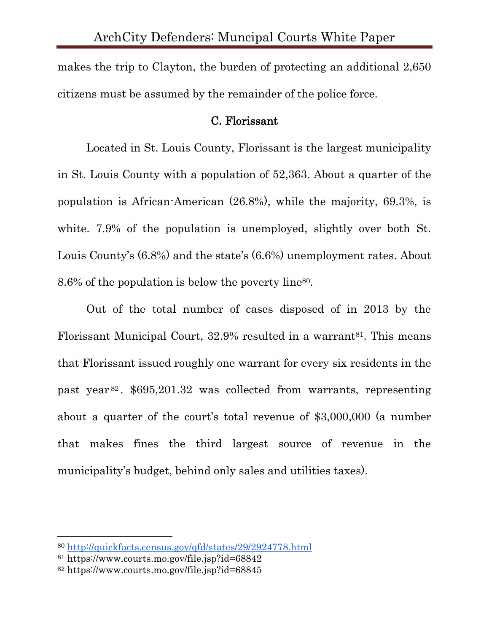makes the trip to Clayton, the burden of protecting an additional 2,650 citizens must be assumed by the remainder of the police force.

#### C. Florissant

Located in St. Louis County, Florissant is the largest municipality in St. Louis County with a population of 52,363. About a quarter of the population is African-American (26.8%), while the majority, 69.3%, is white. 7.9% of the population is unemployed, slightly over both St. Louis County's (6.8%) and the state's (6.6%) unemployment rates. About 8.6% of the population is below the poverty line80.

Out of the total number of cases disposed of in 2013 by the Florissant Municipal Court, 32.9% resulted in a warrant<sup>81</sup>. This means that Florissant issued roughly one warrant for every six residents in the past year <sup>82</sup> . \$695,201.32 was collected from warrants, representing about a quarter of the court's total revenue of \$3,000,000 (a number that makes fines the third largest source of revenue in the municipality's budget, behind only sales and utilities taxes).

<sup>80</sup> <http://quickfacts.census.gov/qfd/states/29/2924778.html>

<sup>81</sup> https://www.courts.mo.gov/file.jsp?id=68842

<sup>82</sup> https://www.courts.mo.gov/file.jsp?id=68845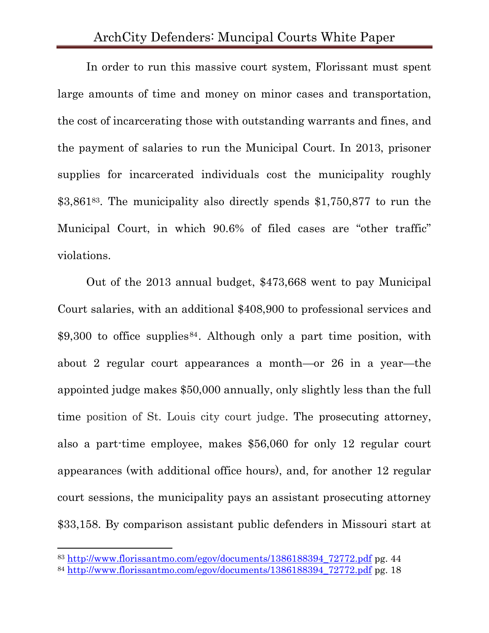In order to run this massive court system, Florissant must spent large amounts of time and money on minor cases and transportation, the cost of incarcerating those with outstanding warrants and fines, and the payment of salaries to run the Municipal Court. In 2013, prisoner supplies for incarcerated individuals cost the municipality roughly \$3,861<sup>83</sup>. The municipality also directly spends \$1,750,877 to run the Municipal Court, in which 90.6% of filed cases are "other traffic" violations.

Out of the 2013 annual budget, \$473,668 went to pay Municipal Court salaries, with an additional \$408,900 to professional services and \$9,300 to office supplies<sup>84</sup>. Although only a part time position, with about 2 regular court appearances a month—or 26 in a year—the appointed judge makes \$50,000 annually, only slightly less than the full time position of St. Louis city court judge. The prosecuting attorney, also a part-time employee, makes \$56,060 for only 12 regular court appearances (with additional office hours), and, for another 12 regular court sessions, the municipality pays an assistant prosecuting attorney \$33,158. By comparison assistant public defenders in Missouri start at

<sup>83</sup> [http://www.florissantmo.com/egov/documents/1386188394\\_72772.pdf](http://www.florissantmo.com/egov/documents/1386188394_72772.pdf) pg. 44

<sup>84</sup> [http://www.florissantmo.com/egov/documents/1386188394\\_72772.pdf](http://www.florissantmo.com/egov/documents/1386188394_72772.pdf) pg. 18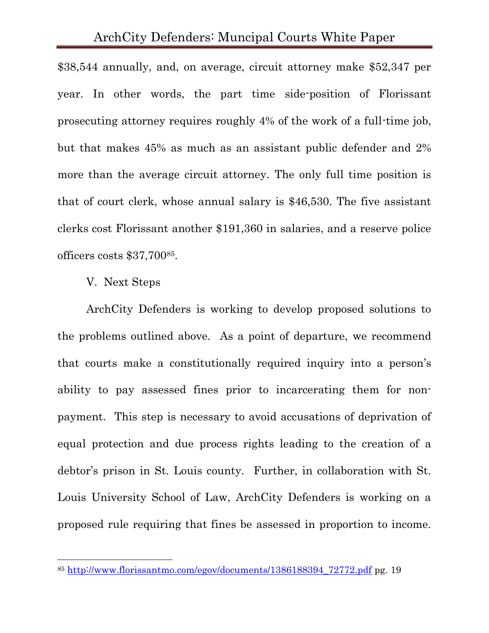\$38,544 annually, and, on average, circuit attorney make \$52,347 per year. In other words, the part time side-position of Florissant prosecuting attorney requires roughly 4% of the work of a full-time job, but that makes 45% as much as an assistant public defender and 2% more than the average circuit attorney. The only full time position is that of court clerk, whose annual salary is \$46,530. The five assistant clerks cost Florissant another \$191,360 in salaries, and a reserve police officers costs \$37,70085.

#### V. Next Steps

l

ArchCity Defenders is working to develop proposed solutions to the problems outlined above. As a point of departure, we recommend that courts make a constitutionally required inquiry into a person's ability to pay assessed fines prior to incarcerating them for nonpayment. This step is necessary to avoid accusations of deprivation of equal protection and due process rights leading to the creation of a debtor's prison in St. Louis county. Further, in collaboration with St. Louis University School of Law, ArchCity Defenders is working on a proposed rule requiring that fines be assessed in proportion to income.

<sup>85</sup> [http://www.florissantmo.com/egov/documents/1386188394\\_72772.pdf](http://www.florissantmo.com/egov/documents/1386188394_72772.pdf) pg. 19